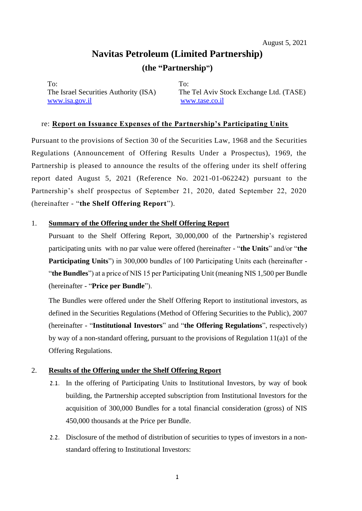# **Navitas Petroleum (Limited Partnership) (the "Partnership")**

To: To: [www.isa.gov.il](http://www.isa.gov.il/) www.tase.co.il

The Israel Securities Authority (ISA) The Tel Aviv Stock Exchange Ltd. (TASE)

### re: **Report on Issuance Expenses of the Partnership's Participating Units**

Pursuant to the provisions of Section 30 of the Securities Law, 1968 and the Securities Regulations (Announcement of Offering Results Under a Prospectus), 1969, the Partnership is pleased to announce the results of the offering under its shelf offering report dated August 5, 2021 (Reference No. 2021-01-062242) pursuant to the Partnership's shelf prospectus of September 21, 2020, dated September 22, 2020 (hereinafter - "**the Shelf Offering Report**").

#### 1. **Summary of the Offering under the Shelf Offering Report**

Pursuant to the Shelf Offering Report, 30,000,000 of the Partnership's registered participating units with no par value were offered (hereinafter - "**the Units**" and/or "**the Participating Units**") in 300,000 bundles of 100 Participating Units each (hereinafter - "**the Bundles**") at a price of NIS 15 per Participating Unit (meaning NIS 1,500 per Bundle (hereinafter - "**Price per Bundle**").

The Bundles were offered under the Shelf Offering Report to institutional investors, as defined in the Securities Regulations (Method of Offering Securities to the Public), 2007 (hereinafter - "**Institutional Investors**" and "**the Offering Regulations**", respectively) by way of a non-standard offering, pursuant to the provisions of Regulation 11(a)1 of the Offering Regulations.

#### 2. **Results of the Offering under the Shelf Offering Report**

- 2.1. In the offering of Participating Units to Institutional Investors, by way of book building, the Partnership accepted subscription from Institutional Investors for the acquisition of 300,000 Bundles for a total financial consideration (gross) of NIS 450,000 thousands at the Price per Bundle.
- 2.2. Disclosure of the method of distribution of securities to types of investors in a nonstandard offering to Institutional Investors: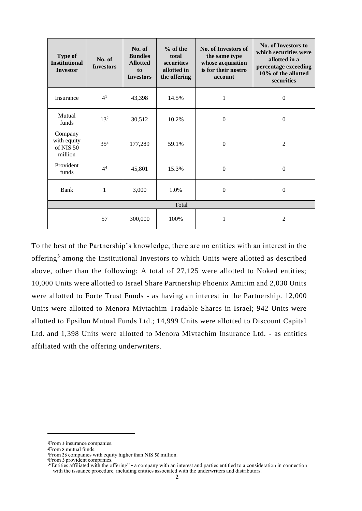| Type of<br><b>Institutional</b><br><b>Investor</b> | No. of<br><b>Investors</b> | No. of<br><b>Bundles</b><br><b>Allotted</b><br>to<br><b>Investors</b> | $%$ of the<br>total<br>securities<br>allotted in<br>the offering | <b>No. of Investors of</b><br>the same type<br>whose acquisition<br>is for their nostro<br>account | No. of Investors to<br>which securities were<br>allotted in a<br>percentage exceeding<br>10% of the allotted<br>securities |
|----------------------------------------------------|----------------------------|-----------------------------------------------------------------------|------------------------------------------------------------------|----------------------------------------------------------------------------------------------------|----------------------------------------------------------------------------------------------------------------------------|
| Insurance                                          | 4 <sup>1</sup>             | 43,398                                                                | 14.5%                                                            | 1                                                                                                  | $\mathbf{0}$                                                                                                               |
| Mutual<br>funds                                    | $13^{2}$                   | 30,512                                                                | 10.2%                                                            | $\Omega$                                                                                           | $\mathbf{0}$                                                                                                               |
| Company<br>with equity<br>of NIS 50<br>million     | $35^{3}$                   | 177,289                                                               | 59.1%                                                            | $\Omega$                                                                                           | $\overline{2}$                                                                                                             |
| Provident<br>funds                                 | 4 <sup>4</sup>             | 45,801                                                                | 15.3%                                                            | $\theta$                                                                                           | $\Omega$                                                                                                                   |
| Bank                                               | 1                          | 3,000                                                                 | 1.0%                                                             | $\boldsymbol{0}$                                                                                   | $\mathbf{0}$                                                                                                               |
| Total                                              |                            |                                                                       |                                                                  |                                                                                                    |                                                                                                                            |
|                                                    | 57                         | 300,000                                                               | 100%                                                             | 1                                                                                                  | 2                                                                                                                          |

To the best of the Partnership's knowledge, there are no entities with an interest in the offering<sup>5</sup> among the Institutional Investors to which Units were allotted as described above, other than the following: A total of 27,125 were allotted to Noked entities; 10,000 Units were allotted to Israel Share Partnership Phoenix Amitim and 2,030 Units were allotted to Forte Trust Funds - as having an interest in the Partnership. 12,000 Units were allotted to Menora Mivtachim Tradable Shares in Israel; 942 Units were allotted to Epsilon Mutual Funds Ltd.; 14,999 Units were allotted to Discount Capital Ltd. and 1,398 Units were allotted to Menora Mivtachim Insurance Ltd. - as entities affiliated with the offering underwriters.

<sup>1</sup>From 3 insurance companies.

<sup>2</sup>From 8 mutual funds.

<sup>3</sup>From 26 companies with equity higher than NIS 50 million.

<sup>4</sup>From 3 provident companies .

<sup>&</sup>lt;sup>5"</sup>Entities affiliated with the offering" - a company with an interest and parties entitled to a consideration in connection with the issuance procedure, including entities associated with the underwriters and distributors.